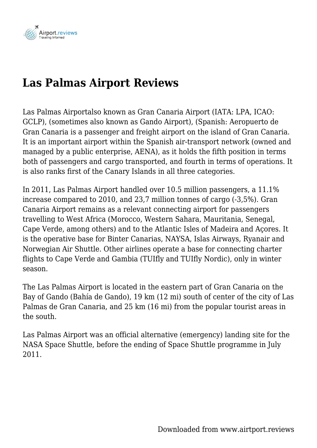

# **Las Palmas Airport Reviews**

Las Palmas Airportalso known as Gran Canaria Airport (IATA: LPA, ICAO: GCLP), (sometimes also known as Gando Airport), (Spanish: Aeropuerto de Gran Canaria is a passenger and freight airport on the island of Gran Canaria. It is an important airport within the Spanish air-transport network (owned and managed by a public enterprise, AENA), as it holds the fifth position in terms both of passengers and cargo transported, and fourth in terms of operations. It is also ranks first of the Canary Islands in all three categories.

In 2011, Las Palmas Airport handled over 10.5 million passengers, a 11.1% increase compared to 2010, and 23,7 million tonnes of cargo (-3,5%). Gran Canaria Airport remains as a relevant connecting airport for passengers travelling to West Africa (Morocco, Western Sahara, Mauritania, Senegal, Cape Verde, among others) and to the Atlantic Isles of Madeira and Açores. It is the operative base for Binter Canarias, NAYSA, Islas Airways, Ryanair and Norwegian Air Shuttle. Other airlines operate a base for connecting charter flights to Cape Verde and Gambia (TUIfly and TUIfly Nordic), only in winter season.

The Las Palmas Airport is located in the eastern part of Gran Canaria on the Bay of Gando (Bahía de Gando), 19 km (12 mi) south of center of the city of Las Palmas de Gran Canaria, and 25 km (16 mi) from the popular tourist areas in the south.

Las Palmas Airport was an official alternative (emergency) landing site for the NASA Space Shuttle, before the ending of Space Shuttle programme in July 2011.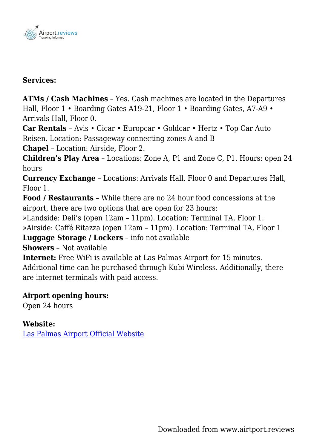

#### **Services:**

**ATMs / Cash Machines** – Yes. Cash machines are located in the Departures Hall, Floor 1 • Boarding Gates A19-21, Floor 1 • Boarding Gates, A7-A9 • Arrivals Hall, Floor 0.

**Car Rentals** – Avis • Cicar • Europcar • Goldcar • Hertz • Top Car Auto Reisen. Location: Passageway connecting zones A and B

**Chapel** – Location: Airside, Floor 2.

**Children's Play Area** – Locations: Zone A, P1 and Zone C, P1. Hours: open 24 hours

**Currency Exchange** – Locations: Arrivals Hall, Floor 0 and Departures Hall, Floor 1.

**Food / Restaurants** – While there are no 24 hour food concessions at the airport, there are two options that are open for 23 hours:

»Landside: Deli's (open 12am – 11pm). Location: Terminal TA, Floor 1.

»Airside: Caffé Ritazza (open 12am – 11pm). Location: Terminal TA, Floor 1

**Luggage Storage / Lockers** – info not available

**Showers** – Not available

**Internet:** Free WiFi is available at Las Palmas Airport for 15 minutes. Additional time can be purchased through Kubi Wireless. Additionally, there are internet terminals with paid access.

### **Airport opening hours:**

Open 24 hours

### **Website:**

[Las Palmas Airport Official Website](http://www.aena-aeropuertos.es/grancanaria/en)